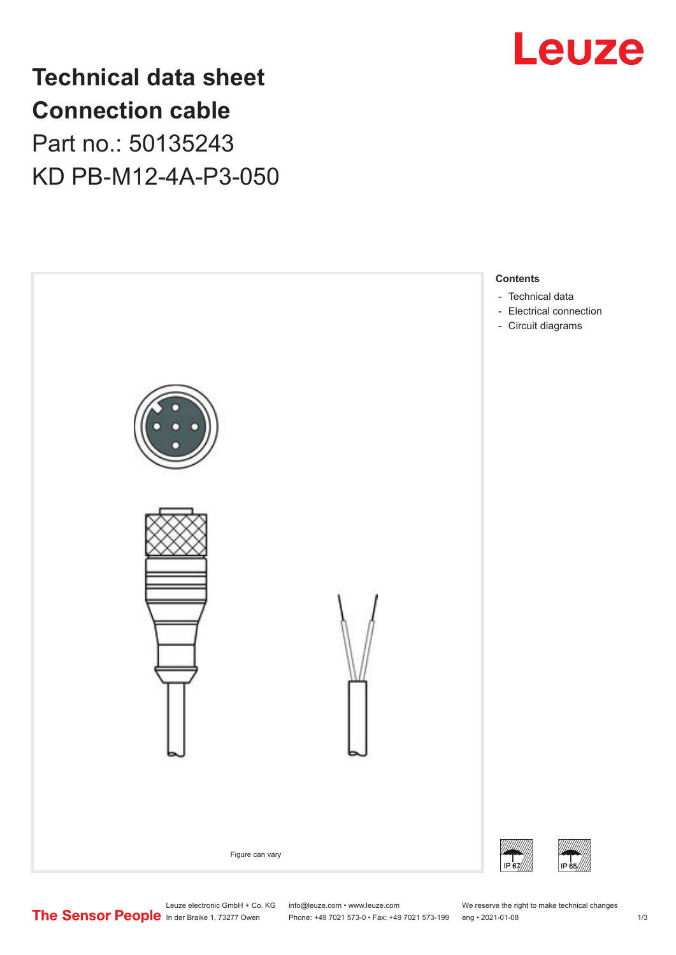

## **Technical data sheet Connection cable** Part no.: 50135243 KD PB-M12-4A-P3-050



Leuze electronic GmbH + Co. KG info@leuze.com • www.leuze.com We reserve the right to make technical changes<br>
The Sensor People in der Braike 1, 73277 Owen Phone: +49 7021 573-0 • Fax: +49 7021 573-199 eng • 2021-01-08 Phone: +49 7021 573-0 • Fax: +49 7021 573-199 eng • 2021-01-08 1 2021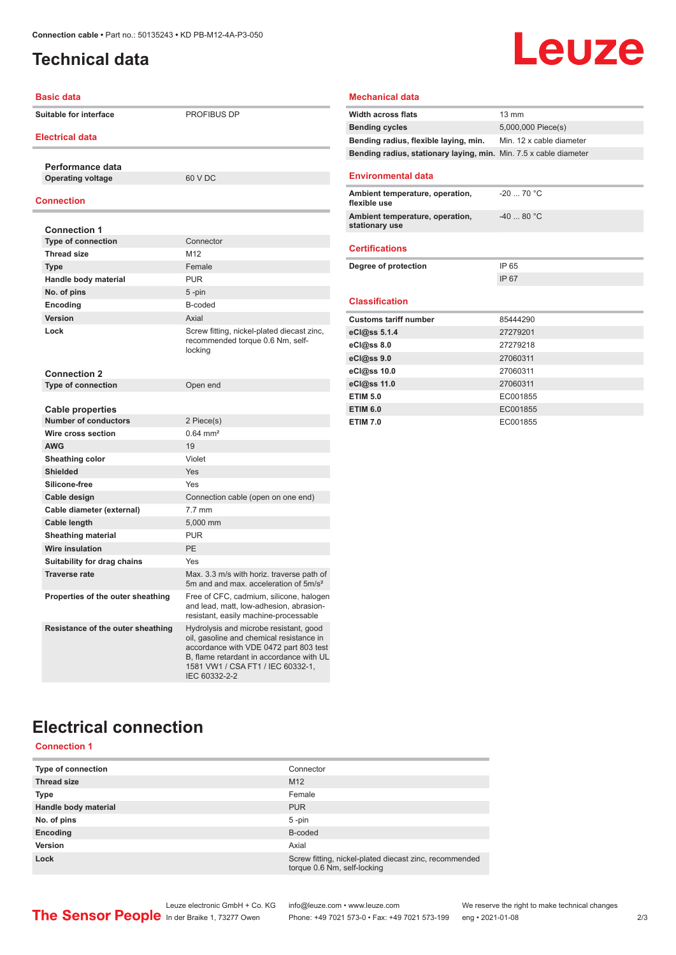### <span id="page-1-0"></span>**Technical data**

## Leuze

| <b>Basic data</b>                 |                                                                                                                                                                                                                                | <b>Mechanical data</b>                      |
|-----------------------------------|--------------------------------------------------------------------------------------------------------------------------------------------------------------------------------------------------------------------------------|---------------------------------------------|
| <b>Suitable for interface</b>     | <b>PROFIBUS DP</b>                                                                                                                                                                                                             | Width across flats<br><b>Bending cycles</b> |
| <b>Electrical data</b>            |                                                                                                                                                                                                                                | Bending radius, fle                         |
|                                   |                                                                                                                                                                                                                                | Bending radius, sta                         |
| Performance data                  |                                                                                                                                                                                                                                |                                             |
| <b>Operating voltage</b>          | 60 V DC                                                                                                                                                                                                                        | <b>Environmental d</b>                      |
| Connection                        |                                                                                                                                                                                                                                | Ambient temperatu<br>flexible use           |
|                                   |                                                                                                                                                                                                                                | Ambient temperatu                           |
| <b>Connection 1</b>               |                                                                                                                                                                                                                                | stationary use                              |
| <b>Type of connection</b>         | Connector                                                                                                                                                                                                                      | <b>Certifications</b>                       |
| <b>Thread size</b>                | M12                                                                                                                                                                                                                            |                                             |
| <b>Type</b>                       | Female                                                                                                                                                                                                                         | Degree of protectic                         |
| Handle body material              | <b>PUR</b>                                                                                                                                                                                                                     |                                             |
| No. of pins                       | 5-pin                                                                                                                                                                                                                          |                                             |
| Encoding                          | B-coded                                                                                                                                                                                                                        | <b>Classification</b>                       |
| <b>Version</b>                    | Axial                                                                                                                                                                                                                          | <b>Customs tariff num</b>                   |
| Lock                              | Screw fitting, nickel-plated diecast zinc,                                                                                                                                                                                     | eCl@ss 5.1.4                                |
|                                   | recommended torque 0.6 Nm, self-                                                                                                                                                                                               | eCl@ss 8.0                                  |
|                                   | locking                                                                                                                                                                                                                        | eCl@ss 9.0                                  |
| <b>Connection 2</b>               |                                                                                                                                                                                                                                | eCl@ss 10.0                                 |
| <b>Type of connection</b>         | Open end                                                                                                                                                                                                                       | eCl@ss 11.0                                 |
|                                   |                                                                                                                                                                                                                                | <b>ETIM 5.0</b>                             |
| <b>Cable properties</b>           |                                                                                                                                                                                                                                | <b>ETIM 6.0</b>                             |
| Number of conductors              | 2 Piece(s)                                                                                                                                                                                                                     | <b>ETIM 7.0</b>                             |
| Wire cross section                | $0.64$ mm <sup>2</sup>                                                                                                                                                                                                         |                                             |
| <b>AWG</b>                        | 19                                                                                                                                                                                                                             |                                             |
| Sheathing color                   | Violet                                                                                                                                                                                                                         |                                             |
| <b>Shielded</b>                   | <b>Yes</b>                                                                                                                                                                                                                     |                                             |
| Silicone-free                     | Yes                                                                                                                                                                                                                            |                                             |
| Cable design                      | Connection cable (open on one end)                                                                                                                                                                                             |                                             |
| Cable diameter (external)         | $7.7$ mm                                                                                                                                                                                                                       |                                             |
| Cable length                      | 5,000 mm                                                                                                                                                                                                                       |                                             |
| <b>Sheathing material</b>         | <b>PUR</b>                                                                                                                                                                                                                     |                                             |
| <b>Wire insulation</b>            | <b>PE</b>                                                                                                                                                                                                                      |                                             |
|                                   | <b>Yes</b>                                                                                                                                                                                                                     |                                             |
| Suitability for drag chains       |                                                                                                                                                                                                                                |                                             |
| <b>Traverse rate</b>              | Max. 3.3 m/s with horiz. traverse path of<br>5m and and max. acceleration of 5m/s <sup>2</sup>                                                                                                                                 |                                             |
| Properties of the outer sheathing | Free of CFC, cadmium, silicone, halogen<br>and lead, matt, low-adhesion, abrasion-<br>resistant, easily machine-processable                                                                                                    |                                             |
| Resistance of the outer sheathing | Hydrolysis and microbe resistant, good<br>oil, gasoline and chemical resistance in<br>accordance with VDE 0472 part 803 test<br>B, flame retardant in accordance with UL<br>1581 VW1 / CSA FT1 / IEC 60332-1,<br>IEC 60332-2-2 |                                             |

| <b>Width across flats</b>                                         | $13 \text{ mm}$          |
|-------------------------------------------------------------------|--------------------------|
| <b>Bending cycles</b>                                             | 5,000,000 Piece(s)       |
| Bending radius, flexible laying, min.                             | Min. 12 x cable diameter |
| Bending radius, stationary laying, min. Min. 7.5 x cable diameter |                          |
| <b>Environmental data</b>                                         |                          |
| Ambient temperature, operation,<br>flexible use                   | $-20$ 70 °C              |
| Ambient temperature, operation,<br>stationary use                 | $-4080 °C$               |
| <b>Certifications</b>                                             |                          |
| Degree of protection                                              | IP 65                    |
|                                                                   |                          |
|                                                                   | IP 67                    |
| <b>Classification</b>                                             |                          |
| <b>Customs tariff number</b>                                      | 85444290                 |
| eCl@ss 5.1.4                                                      | 27279201                 |
| eCl@ss 8.0                                                        | 27279218                 |
| eCl@ss 9.0                                                        | 27060311                 |
| eCl@ss 10.0                                                       | 27060311                 |
| eCl@ss 11.0                                                       | 27060311                 |
| <b>ETIM 5.0</b>                                                   | EC001855                 |
| <b>ETIM 6.0</b>                                                   | EC001855                 |

### **Electrical connection**

#### **Connection 1**

| <b>Type of connection</b> | Connector                                                                             |
|---------------------------|---------------------------------------------------------------------------------------|
| <b>Thread size</b>        | M <sub>12</sub>                                                                       |
| <b>Type</b>               | Female                                                                                |
| Handle body material      | <b>PUR</b>                                                                            |
| No. of pins               | $5$ -pin                                                                              |
| Encoding                  | B-coded                                                                               |
| Version                   | Axial                                                                                 |
| Lock                      | Screw fitting, nickel-plated diecast zinc, recommended<br>torque 0.6 Nm, self-locking |

Leuze electronic GmbH + Co. KG info@leuze.com • www.leuze.com We reserve the right to make technical changes

ln der Braike 1, 73277 Owen Phone: +49 7021 573-0 • Fax: +49 7021 573-199 eng • 2021-01-08 2/3